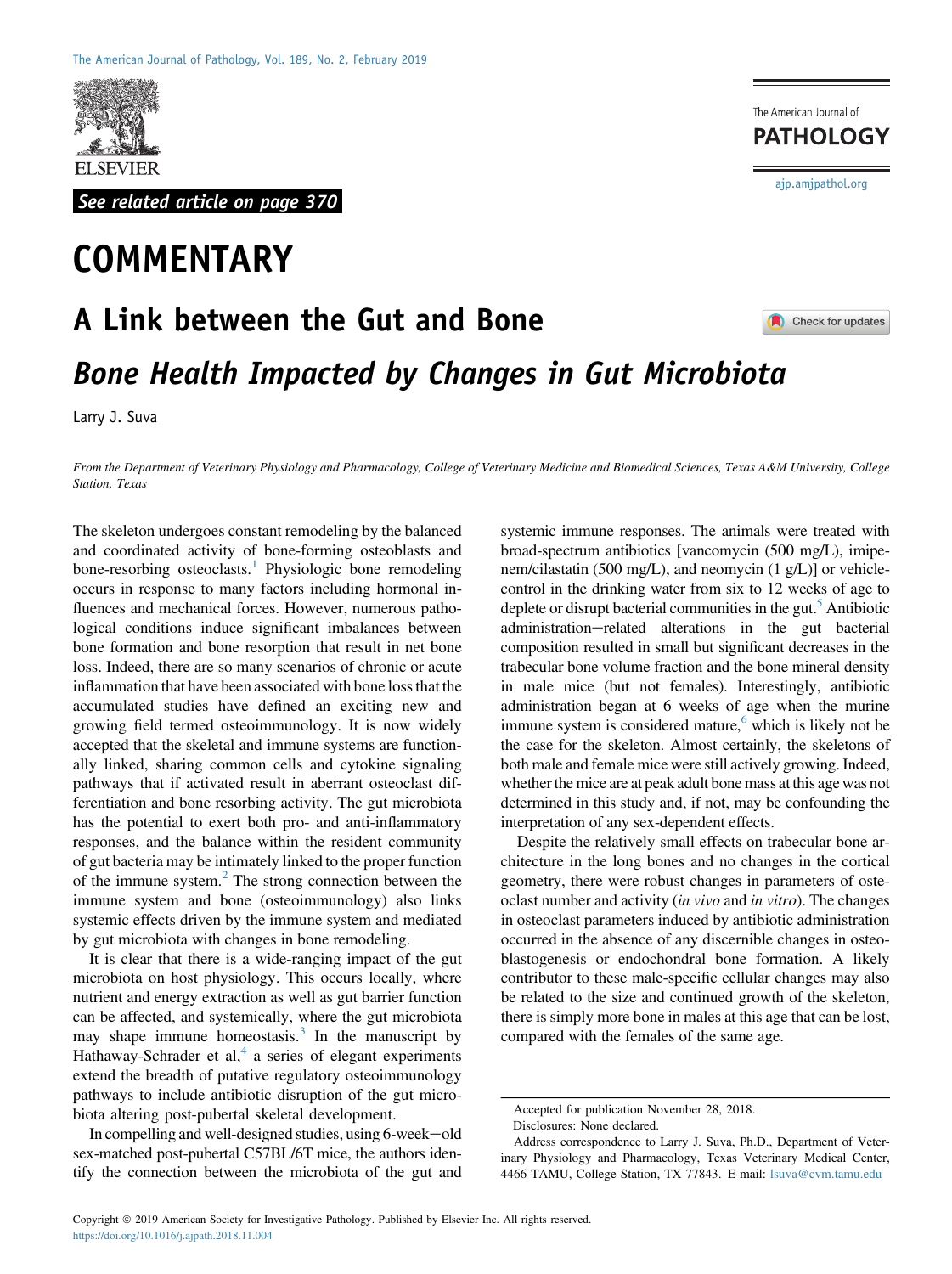

See related article on page 370

## **COMMENTARY**

The American Journal of **PATHOLOGY** 

[ajp.amjpathol.org](http://ajp.amjpathol.org)

## A Link between the Gut and Bone Check for updates Bone Health Impacted by Changes in Gut Microbiota

Larry J. Suva

From the Department of Veterinary Physiology and Pharmacology, College of Veterinary Medicine and Biomedical Sciences, Texas A&M University, College Station, Texas

The skeleton undergoes constant remodeling by the balanced and coordinated activity of bone-forming osteoblasts and bone-resorbing osteoclasts.<sup>[1](#page-1-0)</sup> Physiologic bone remodeling occurs in response to many factors including hormonal influences and mechanical forces. However, numerous pathological conditions induce significant imbalances between bone formation and bone resorption that result in net bone loss. Indeed, there are so many scenarios of chronic or acute inflammation that have been associated with bone loss that the accumulated studies have defined an exciting new and growing field termed osteoimmunology. It is now widely accepted that the skeletal and immune systems are functionally linked, sharing common cells and cytokine signaling pathways that if activated result in aberrant osteoclast differentiation and bone resorbing activity. The gut microbiota has the potential to exert both pro- and anti-inflammatory responses, and the balance within the resident community of gut bacteria may be intimately linked to the proper function of the immune system.<sup>[2](#page-1-1)</sup> The strong connection between the immune system and bone (osteoimmunology) also links systemic effects driven by the immune system and mediated by gut microbiota with changes in bone remodeling.

It is clear that there is a wide-ranging impact of the gut microbiota on host physiology. This occurs locally, where nutrient and energy extraction as well as gut barrier function can be affected, and systemically, where the gut microbiota may shape immune homeostasis. $3$  In the manuscript by Hathaway-Schrader et al,<sup>[4](#page-1-3)</sup> a series of elegant experiments extend the breadth of putative regulatory osteoimmunology pathways to include antibiotic disruption of the gut microbiota altering post-pubertal skeletal development.

In compelling and well-designed studies, using 6-week-old sex-matched post-pubertal C57BL/6T mice, the authors identify the connection between the microbiota of the gut and

systemic immune responses. The animals were treated with broad-spectrum antibiotics [vancomycin (500 mg/L), imipenem/cilastatin (500 mg/L), and neomycin (1 g/L)] or vehiclecontrol in the drinking water from six to 12 weeks of age to deplete or disrupt bacterial communities in the gut.<sup>5</sup> Antibiotic administration-related alterations in the gut bacterial composition resulted in small but significant decreases in the trabecular bone volume fraction and the bone mineral density in male mice (but not females). Interestingly, antibiotic administration began at 6 weeks of age when the murine immune system is considered mature,<sup>6</sup> which is likely not be the case for the skeleton. Almost certainly, the skeletons of both male and female mice were still actively growing. Indeed, whether the mice are at peak adult bone mass at this age was not determined in this study and, if not, may be confounding the interpretation of any sex-dependent effects.

Despite the relatively small effects on trabecular bone architecture in the long bones and no changes in the cortical geometry, there were robust changes in parameters of osteoclast number and activity *(in vivo* and *in vitro)*. The changes in osteoclast parameters induced by antibiotic administration occurred in the absence of any discernible changes in osteoblastogenesis or endochondral bone formation. A likely contributor to these male-specific cellular changes may also be related to the size and continued growth of the skeleton, there is simply more bone in males at this age that can be lost, compared with the females of the same age.

Accepted for publication November 28, 2018.

Disclosures: None declared.

Address correspondence to Larry J. Suva, Ph.D., Department of Veterinary Physiology and Pharmacology, Texas Veterinary Medical Center, 4466 TAMU, College Station, TX 77843. E-mail: [lsuva@cvm.tamu.edu](mailto:lsuva@cvm.tamu.edu)